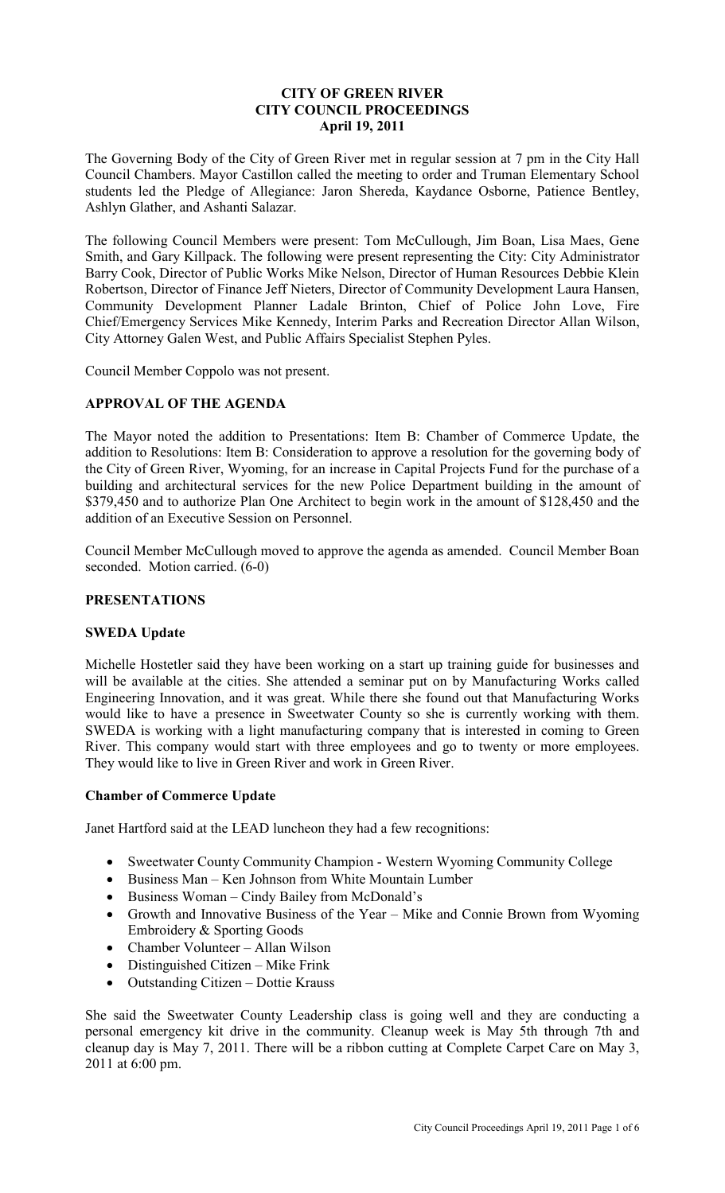## **CITY OF GREEN RIVER CITY COUNCIL PROCEEDINGS April 19, 2011**

The Governing Body of the City of Green River met in regular session at 7 pm in the City Hall Council Chambers. Mayor Castillon called the meeting to order and Truman Elementary School students led the Pledge of Allegiance: Jaron Shereda, Kaydance Osborne, Patience Bentley, Ashlyn Glather, and Ashanti Salazar.

The following Council Members were present: Tom McCullough, Jim Boan, Lisa Maes, Gene Smith, and Gary Killpack. The following were present representing the City: City Administrator Barry Cook, Director of Public Works Mike Nelson, Director of Human Resources Debbie Klein Robertson, Director of Finance Jeff Nieters, Director of Community Development Laura Hansen, Community Development Planner Ladale Brinton, Chief of Police John Love, Fire Chief/Emergency Services Mike Kennedy, Interim Parks and Recreation Director Allan Wilson, City Attorney Galen West, and Public Affairs Specialist Stephen Pyles.

Council Member Coppolo was not present.

### **APPROVAL OF THE AGENDA**

The Mayor noted the addition to Presentations: Item B: Chamber of Commerce Update, the addition to Resolutions: Item B: Consideration to approve a resolution for the governing body of the City of Green River, Wyoming, for an increase in Capital Projects Fund for the purchase of a building and architectural services for the new Police Department building in the amount of \$379,450 and to authorize Plan One Architect to begin work in the amount of \$128,450 and the addition of an Executive Session on Personnel.

Council Member McCullough moved to approve the agenda as amended. Council Member Boan seconded. Motion carried. (6-0)

# **PRESENTATIONS**

# **SWEDA Update**

Michelle Hostetler said they have been working on a start up training guide for businesses and will be available at the cities. She attended a seminar put on by Manufacturing Works called Engineering Innovation, and it was great. While there she found out that Manufacturing Works would like to have a presence in Sweetwater County so she is currently working with them. SWEDA is working with a light manufacturing company that is interested in coming to Green River. This company would start with three employees and go to twenty or more employees. They would like to live in Green River and work in Green River.

#### **Chamber of Commerce Update**

Janet Hartford said at the LEAD luncheon they had a few recognitions:

- Sweetwater County Community Champion Western Wyoming Community College
- Business Man Ken Johnson from White Mountain Lumber
- Business Woman Cindy Bailey from McDonald's
- Growth and Innovative Business of the Year Mike and Connie Brown from Wyoming Embroidery & Sporting Goods
- Chamber Volunteer Allan Wilson
- Distinguished Citizen Mike Frink
- Outstanding Citizen Dottie Krauss

She said the Sweetwater County Leadership class is going well and they are conducting a personal emergency kit drive in the community. Cleanup week is May 5th through 7th and cleanup day is May 7, 2011. There will be a ribbon cutting at Complete Carpet Care on May 3, 2011 at 6:00 pm.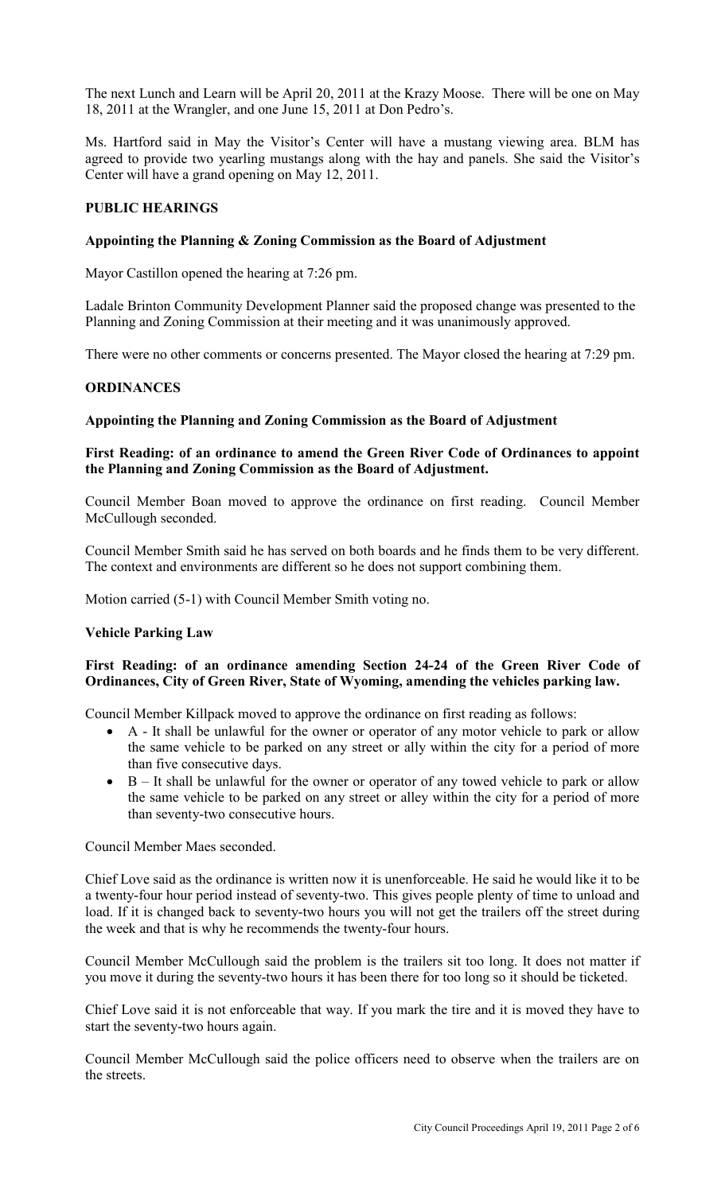The next Lunch and Learn will be April 20, 2011 at the Krazy Moose. There will be one on May 18, 2011 at the Wrangler, and one June 15, 2011 at Don Pedro's.

Ms. Hartford said in May the Visitor's Center will have a mustang viewing area. BLM has agreed to provide two yearling mustangs along with the hay and panels. She said the Visitor's Center will have a grand opening on May 12, 2011.

#### **PUBLIC HEARINGS**

#### **Appointing the Planning & Zoning Commission as the Board of Adjustment**

Mayor Castillon opened the hearing at 7:26 pm.

Ladale Brinton Community Development Planner said the proposed change was presented to the Planning and Zoning Commission at their meeting and it was unanimously approved.

There were no other comments or concerns presented. The Mayor closed the hearing at 7:29 pm.

### **ORDINANCES**

#### **Appointing the Planning and Zoning Commission as the Board of Adjustment**

### **First Reading: of an ordinance to amend the Green River Code of Ordinances to appoint the Planning and Zoning Commission as the Board of Adjustment.**

Council Member Boan moved to approve the ordinance on first reading. Council Member McCullough seconded.

Council Member Smith said he has served on both boards and he finds them to be very different. The context and environments are different so he does not support combining them.

Motion carried (5-1) with Council Member Smith voting no.

#### **Vehicle Parking Law**

### **First Reading: of an ordinance amending Section 24-24 of the Green River Code of Ordinances, City of Green River, State of Wyoming, amending the vehicles parking law.**

Council Member Killpack moved to approve the ordinance on first reading as follows:

- A It shall be unlawful for the owner or operator of any motor vehicle to park or allow the same vehicle to be parked on any street or ally within the city for a period of more than five consecutive days.
- B It shall be unlawful for the owner or operator of any towed vehicle to park or allow the same vehicle to be parked on any street or alley within the city for a period of more than seventy-two consecutive hours.

Council Member Maes seconded.

Chief Love said as the ordinance is written now it is unenforceable. He said he would like it to be a twenty-four hour period instead of seventy-two. This gives people plenty of time to unload and load. If it is changed back to seventy-two hours you will not get the trailers off the street during the week and that is why he recommends the twenty-four hours.

Council Member McCullough said the problem is the trailers sit too long. It does not matter if you move it during the seventy-two hours it has been there for too long so it should be ticketed.

Chief Love said it is not enforceable that way. If you mark the tire and it is moved they have to start the seventy-two hours again.

Council Member McCullough said the police officers need to observe when the trailers are on the streets.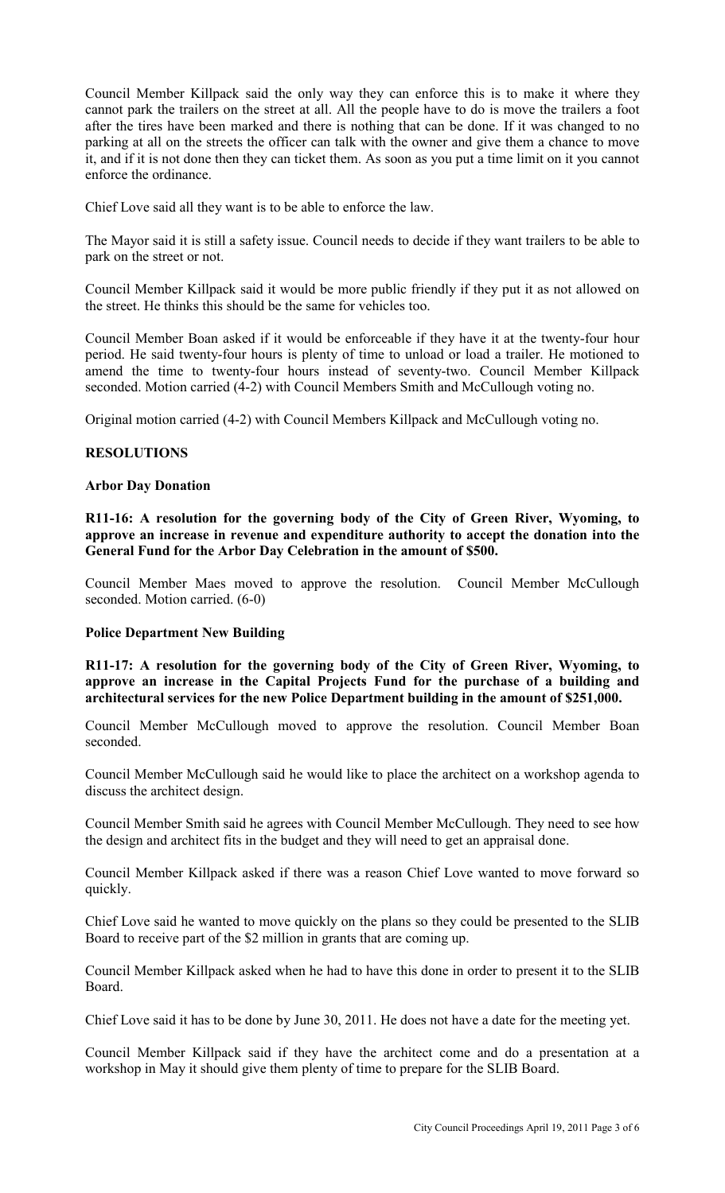Council Member Killpack said the only way they can enforce this is to make it where they cannot park the trailers on the street at all. All the people have to do is move the trailers a foot after the tires have been marked and there is nothing that can be done. If it was changed to no parking at all on the streets the officer can talk with the owner and give them a chance to move it, and if it is not done then they can ticket them. As soon as you put a time limit on it you cannot enforce the ordinance.

Chief Love said all they want is to be able to enforce the law.

The Mayor said it is still a safety issue. Council needs to decide if they want trailers to be able to park on the street or not.

Council Member Killpack said it would be more public friendly if they put it as not allowed on the street. He thinks this should be the same for vehicles too.

Council Member Boan asked if it would be enforceable if they have it at the twenty-four hour period. He said twenty-four hours is plenty of time to unload or load a trailer. He motioned to amend the time to twenty-four hours instead of seventy-two. Council Member Killpack seconded. Motion carried (4-2) with Council Members Smith and McCullough voting no.

Original motion carried (4-2) with Council Members Killpack and McCullough voting no.

### **RESOLUTIONS**

### **Arbor Day Donation**

**R11-16: A resolution for the governing body of the City of Green River, Wyoming, to approve an increase in revenue and expenditure authority to accept the donation into the General Fund for the Arbor Day Celebration in the amount of \$500.**

Council Member Maes moved to approve the resolution. Council Member McCullough seconded. Motion carried. (6-0)

### **Police Department New Building**

**R11-17: A resolution for the governing body of the City of Green River, Wyoming, to approve an increase in the Capital Projects Fund for the purchase of a building and architectural services for the new Police Department building in the amount of \$251,000.**

Council Member McCullough moved to approve the resolution. Council Member Boan seconded.

Council Member McCullough said he would like to place the architect on a workshop agenda to discuss the architect design.

Council Member Smith said he agrees with Council Member McCullough. They need to see how the design and architect fits in the budget and they will need to get an appraisal done.

Council Member Killpack asked if there was a reason Chief Love wanted to move forward so quickly.

Chief Love said he wanted to move quickly on the plans so they could be presented to the SLIB Board to receive part of the \$2 million in grants that are coming up.

Council Member Killpack asked when he had to have this done in order to present it to the SLIB Board.

Chief Love said it has to be done by June 30, 2011. He does not have a date for the meeting yet.

Council Member Killpack said if they have the architect come and do a presentation at a workshop in May it should give them plenty of time to prepare for the SLIB Board.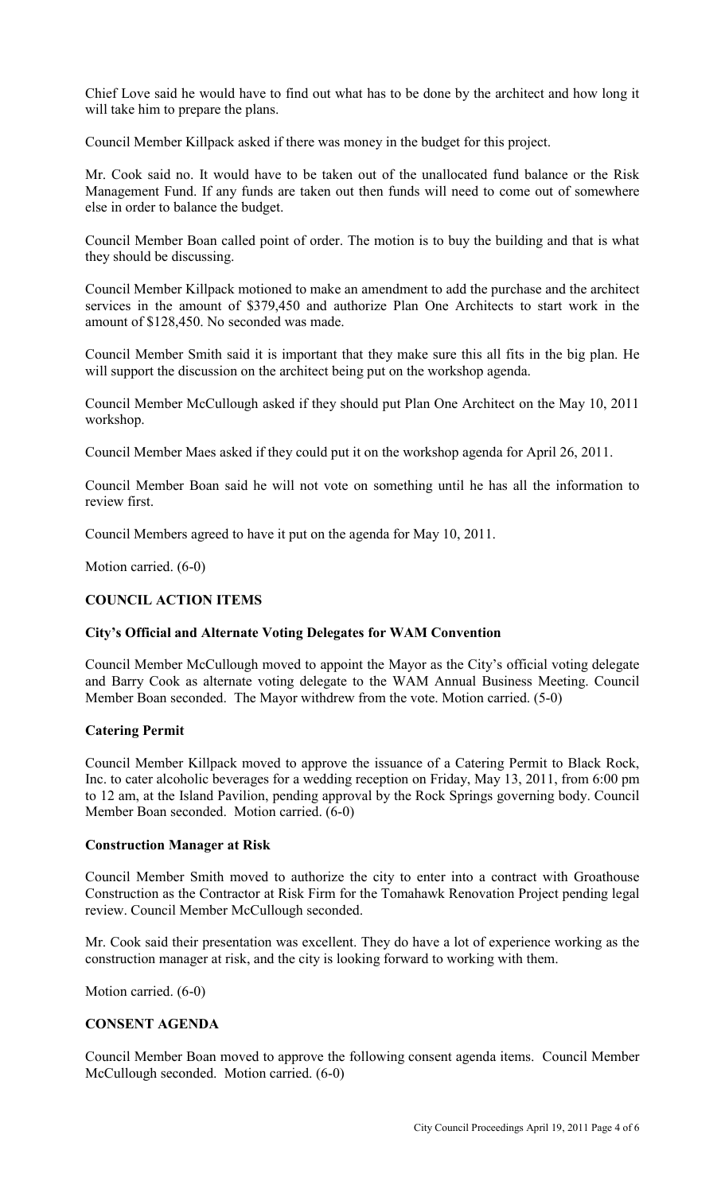Chief Love said he would have to find out what has to be done by the architect and how long it will take him to prepare the plans.

Council Member Killpack asked if there was money in the budget for this project.

Mr. Cook said no. It would have to be taken out of the unallocated fund balance or the Risk Management Fund. If any funds are taken out then funds will need to come out of somewhere else in order to balance the budget.

Council Member Boan called point of order. The motion is to buy the building and that is what they should be discussing.

Council Member Killpack motioned to make an amendment to add the purchase and the architect services in the amount of \$379,450 and authorize Plan One Architects to start work in the amount of \$128,450. No seconded was made.

Council Member Smith said it is important that they make sure this all fits in the big plan. He will support the discussion on the architect being put on the workshop agenda.

Council Member McCullough asked if they should put Plan One Architect on the May 10, 2011 workshop.

Council Member Maes asked if they could put it on the workshop agenda for April 26, 2011.

Council Member Boan said he will not vote on something until he has all the information to review first.

Council Members agreed to have it put on the agenda for May 10, 2011.

Motion carried. (6-0)

#### **COUNCIL ACTION ITEMS**

#### **City's Official and Alternate Voting Delegates for WAM Convention**

Council Member McCullough moved to appoint the Mayor as the City's official voting delegate and Barry Cook as alternate voting delegate to the WAM Annual Business Meeting. Council Member Boan seconded. The Mayor withdrew from the vote. Motion carried. (5-0)

#### **Catering Permit**

Council Member Killpack moved to approve the issuance of a Catering Permit to Black Rock, Inc. to cater alcoholic beverages for a wedding reception on Friday, May 13, 2011, from 6:00 pm to 12 am, at the Island Pavilion, pending approval by the Rock Springs governing body. Council Member Boan seconded. Motion carried. (6-0)

#### **Construction Manager at Risk**

Council Member Smith moved to authorize the city to enter into a contract with Groathouse Construction as the Contractor at Risk Firm for the Tomahawk Renovation Project pending legal review. Council Member McCullough seconded.

Mr. Cook said their presentation was excellent. They do have a lot of experience working as the construction manager at risk, and the city is looking forward to working with them.

Motion carried. (6-0)

# **CONSENT AGENDA**

Council Member Boan moved to approve the following consent agenda items. Council Member McCullough seconded. Motion carried. (6-0)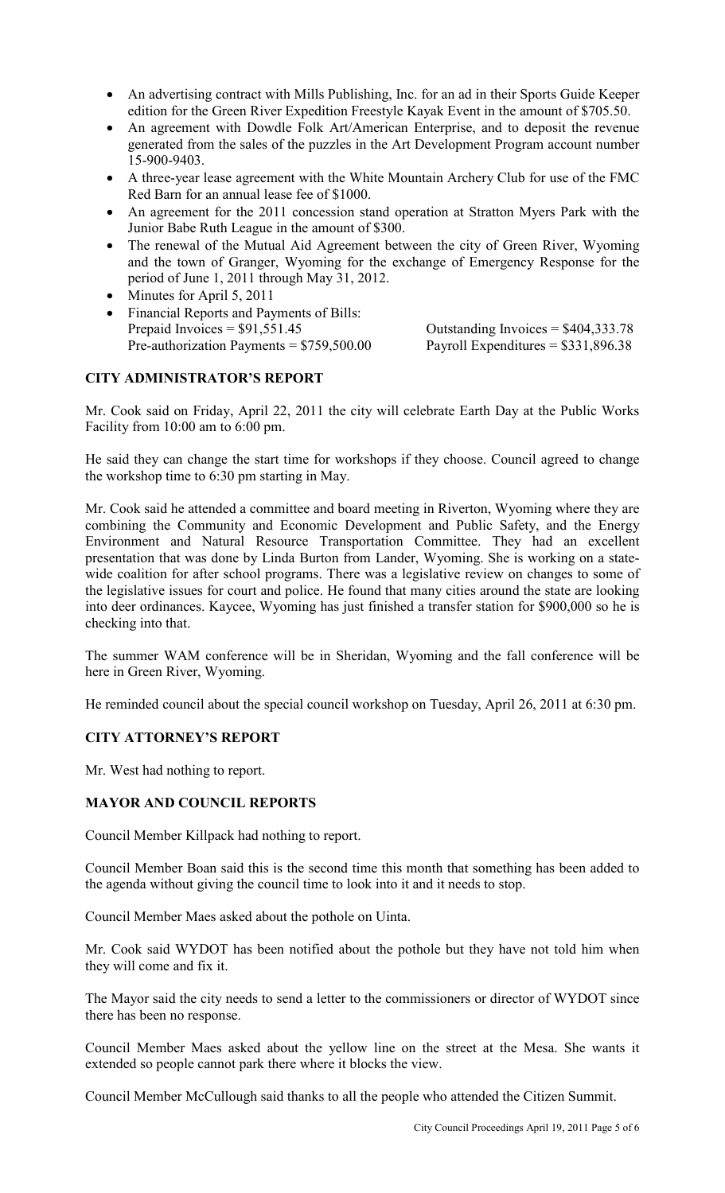- An advertising contract with Mills Publishing, Inc. for an ad in their Sports Guide Keeper edition for the Green River Expedition Freestyle Kayak Event in the amount of \$705.50.
- An agreement with Dowdle Folk Art/American Enterprise, and to deposit the revenue generated from the sales of the puzzles in the Art Development Program account number 15-900-9403.
- A three-year lease agreement with the White Mountain Archery Club for use of the FMC Red Barn for an annual lease fee of \$1000.
- An agreement for the 2011 concession stand operation at Stratton Myers Park with the Junior Babe Ruth League in the amount of \$300.
- The renewal of the Mutual Aid Agreement between the city of Green River, Wyoming and the town of Granger, Wyoming for the exchange of Emergency Response for the period of June 1, 2011 through May 31, 2012.
- Minutes for April 5, 2011
- Financial Reports and Payments of Bills:<br>Prepaid Invoices =  $$91,551.45$ Pre-authorization Payments =  $$759,500.00$  Payroll Expenditures =  $$331,896.38$

Outstanding Invoices  $= $404,333.78$ 

# **CITY ADMINISTRATOR'S REPORT**

Mr. Cook said on Friday, April 22, 2011 the city will celebrate Earth Day at the Public Works Facility from 10:00 am to 6:00 pm.

He said they can change the start time for workshops if they choose. Council agreed to change the workshop time to 6:30 pm starting in May.

Mr. Cook said he attended a committee and board meeting in Riverton, Wyoming where they are combining the Community and Economic Development and Public Safety, and the Energy Environment and Natural Resource Transportation Committee. They had an excellent presentation that was done by Linda Burton from Lander, Wyoming. She is working on a statewide coalition for after school programs. There was a legislative review on changes to some of the legislative issues for court and police. He found that many cities around the state are looking into deer ordinances. Kaycee, Wyoming has just finished a transfer station for \$900,000 so he is checking into that.

The summer WAM conference will be in Sheridan, Wyoming and the fall conference will be here in Green River, Wyoming.

He reminded council about the special council workshop on Tuesday, April 26, 2011 at 6:30 pm.

# **CITY ATTORNEY'S REPORT**

Mr. West had nothing to report.

### **MAYOR AND COUNCIL REPORTS**

Council Member Killpack had nothing to report.

Council Member Boan said this is the second time this month that something has been added to the agenda without giving the council time to look into it and it needs to stop.

Council Member Maes asked about the pothole on Uinta.

Mr. Cook said WYDOT has been notified about the pothole but they have not told him when they will come and fix it.

The Mayor said the city needs to send a letter to the commissioners or director of WYDOT since there has been no response.

Council Member Maes asked about the yellow line on the street at the Mesa. She wants it extended so people cannot park there where it blocks the view.

Council Member McCullough said thanks to all the people who attended the Citizen Summit.